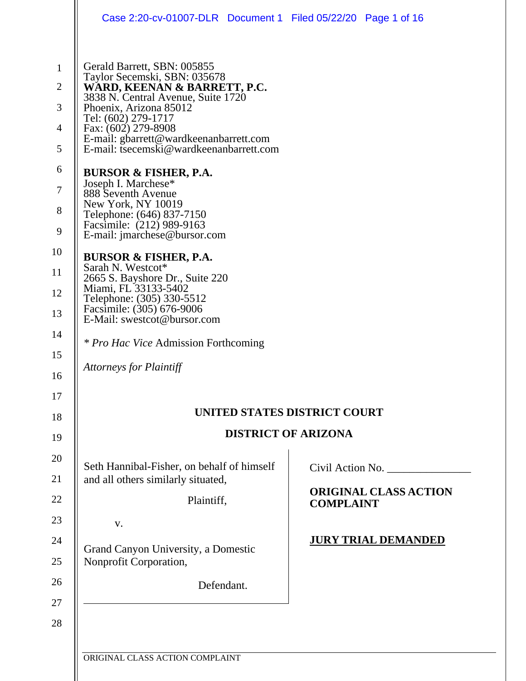|                                                                                        | Case 2:20-cv-01007-DLR Document 1 Filed 05/22/20 Page 1 of 16                                                                                                                                                                                                                                                                                                                                                                      |                  |                              |  |  |
|----------------------------------------------------------------------------------------|------------------------------------------------------------------------------------------------------------------------------------------------------------------------------------------------------------------------------------------------------------------------------------------------------------------------------------------------------------------------------------------------------------------------------------|------------------|------------------------------|--|--|
| $\mathbf{1}$<br>$\overline{2}$<br>3<br>$\overline{4}$<br>5<br>6<br>$\overline{7}$<br>8 | Gerald Barrett, SBN: 005855<br>Taylor Secemski, SBN: 035678<br>WARD, KEENAN & BARRETT, P.C.<br>3838 N. Central Avenue, Suite 1720<br>Phoenix, Arizona 85012<br>Tel: (602) 279-1717<br>Fax: (602) 279-8908<br>E-mail: gbarrett@wardkeenanbarrett.com<br>E-mail: tsecemski@wardkeenanbarrett.com<br><b>BURSOR &amp; FISHER, P.A.</b><br>Joseph I. Marchese*<br>888 Seventh Avenue<br>New York, NY 10019<br>Telephone: (646) 837-7150 |                  |                              |  |  |
| 9                                                                                      | Facsimile: (212) 989-9163<br>E-mail: jmarchese@bursor.com                                                                                                                                                                                                                                                                                                                                                                          |                  |                              |  |  |
| 10                                                                                     | <b>BURSOR &amp; FISHER, P.A.</b><br>Sarah N. Westcot*                                                                                                                                                                                                                                                                                                                                                                              |                  |                              |  |  |
| 11<br>12                                                                               | 2665 S. Bayshore Dr., Suite 220<br>Miami, FL 33133-5402<br>Telephone: (305) 330-5512<br>Facsimile: (305) 676-9006<br>E-Mail: swestcot@bursor.com                                                                                                                                                                                                                                                                                   |                  |                              |  |  |
| 13                                                                                     |                                                                                                                                                                                                                                                                                                                                                                                                                                    |                  |                              |  |  |
| 14                                                                                     |                                                                                                                                                                                                                                                                                                                                                                                                                                    |                  |                              |  |  |
| 15                                                                                     | <i>* Pro Hac Vice Admission Forthcoming</i>                                                                                                                                                                                                                                                                                                                                                                                        |                  |                              |  |  |
| 16                                                                                     | <b>Attorneys for Plaintiff</b>                                                                                                                                                                                                                                                                                                                                                                                                     |                  |                              |  |  |
| 17                                                                                     |                                                                                                                                                                                                                                                                                                                                                                                                                                    |                  |                              |  |  |
| 18                                                                                     | UNITED STATES DISTRICT COURT                                                                                                                                                                                                                                                                                                                                                                                                       |                  |                              |  |  |
| 19                                                                                     | <b>DISTRICT OF ARIZONA</b>                                                                                                                                                                                                                                                                                                                                                                                                         |                  |                              |  |  |
| 20                                                                                     | Seth Hannibal-Fisher, on behalf of himself                                                                                                                                                                                                                                                                                                                                                                                         |                  | Civil Action No.             |  |  |
| 21                                                                                     | and all others similarly situated,                                                                                                                                                                                                                                                                                                                                                                                                 |                  |                              |  |  |
| 22                                                                                     | Plaintiff,                                                                                                                                                                                                                                                                                                                                                                                                                         | <b>COMPLAINT</b> | <b>ORIGINAL CLASS ACTION</b> |  |  |
| 23                                                                                     | V.                                                                                                                                                                                                                                                                                                                                                                                                                                 |                  |                              |  |  |
| 24                                                                                     | <b>JURY TRIAL DEMANDED</b><br>Grand Canyon University, a Domestic                                                                                                                                                                                                                                                                                                                                                                  |                  |                              |  |  |
| 25                                                                                     | Nonprofit Corporation,                                                                                                                                                                                                                                                                                                                                                                                                             |                  |                              |  |  |
| 26                                                                                     | Defendant.                                                                                                                                                                                                                                                                                                                                                                                                                         |                  |                              |  |  |
| 27                                                                                     |                                                                                                                                                                                                                                                                                                                                                                                                                                    |                  |                              |  |  |
| 28                                                                                     |                                                                                                                                                                                                                                                                                                                                                                                                                                    |                  |                              |  |  |
|                                                                                        |                                                                                                                                                                                                                                                                                                                                                                                                                                    |                  |                              |  |  |

ORIGINAL CLASS ACTION COMPLAINT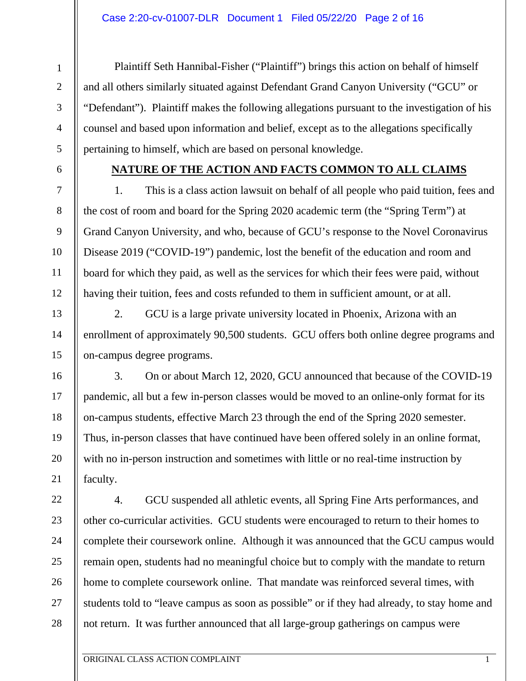1

2

3

4

5

6

7

8

9

10

11

12

13

14

15

16

17

18

19

20

21

22

23

24

25

26

27

28

Plaintiff Seth Hannibal-Fisher ("Plaintiff") brings this action on behalf of himself and all others similarly situated against Defendant Grand Canyon University ("GCU" or "Defendant"). Plaintiff makes the following allegations pursuant to the investigation of his counsel and based upon information and belief, except as to the allegations specifically pertaining to himself, which are based on personal knowledge.

# **NATURE OF THE ACTION AND FACTS COMMON TO ALL CLAIMS**

1. This is a class action lawsuit on behalf of all people who paid tuition, fees and the cost of room and board for the Spring 2020 academic term (the "Spring Term") at Grand Canyon University, and who, because of GCU's response to the Novel Coronavirus Disease 2019 ("COVID-19") pandemic, lost the benefit of the education and room and board for which they paid, as well as the services for which their fees were paid, without having their tuition, fees and costs refunded to them in sufficient amount, or at all.

2. GCU is a large private university located in Phoenix, Arizona with an enrollment of approximately 90,500 students. GCU offers both online degree programs and on-campus degree programs.

3. On or about March 12, 2020, GCU announced that because of the COVID-19 pandemic, all but a few in-person classes would be moved to an online-only format for its on-campus students, effective March 23 through the end of the Spring 2020 semester. Thus, in-person classes that have continued have been offered solely in an online format, with no in-person instruction and sometimes with little or no real-time instruction by faculty.

4. GCU suspended all athletic events, all Spring Fine Arts performances, and other co-curricular activities. GCU students were encouraged to return to their homes to complete their coursework online. Although it was announced that the GCU campus would remain open, students had no meaningful choice but to comply with the mandate to return home to complete coursework online. That mandate was reinforced several times, with students told to "leave campus as soon as possible" or if they had already, to stay home and not return. It was further announced that all large-group gatherings on campus were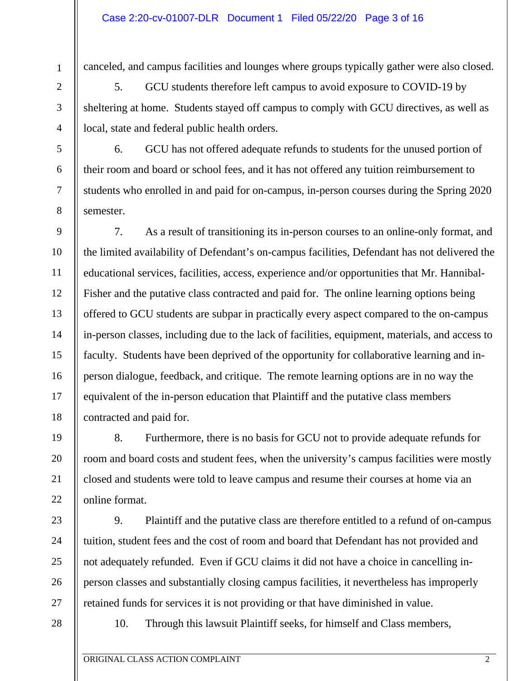18

19

20

21

22

23

24

25

26

27

canceled, and campus facilities and lounges where groups typically gather were also closed.

5. GCU students therefore left campus to avoid exposure to COVID-19 by sheltering at home. Students stayed off campus to comply with GCU directives, as well as local, state and federal public health orders.

6. GCU has not offered adequate refunds to students for the unused portion of their room and board or school fees, and it has not offered any tuition reimbursement to students who enrolled in and paid for on-campus, in-person courses during the Spring 2020 semester.

7. As a result of transitioning its in-person courses to an online-only format, and the limited availability of Defendant's on-campus facilities, Defendant has not delivered the educational services, facilities, access, experience and/or opportunities that Mr. Hannibal-Fisher and the putative class contracted and paid for. The online learning options being offered to GCU students are subpar in practically every aspect compared to the on-campus in-person classes, including due to the lack of facilities, equipment, materials, and access to faculty. Students have been deprived of the opportunity for collaborative learning and inperson dialogue, feedback, and critique. The remote learning options are in no way the equivalent of the in-person education that Plaintiff and the putative class members contracted and paid for.

8. Furthermore, there is no basis for GCU not to provide adequate refunds for room and board costs and student fees, when the university's campus facilities were mostly closed and students were told to leave campus and resume their courses at home via an online format.

9. Plaintiff and the putative class are therefore entitled to a refund of on-campus tuition, student fees and the cost of room and board that Defendant has not provided and not adequately refunded. Even if GCU claims it did not have a choice in cancelling inperson classes and substantially closing campus facilities, it nevertheless has improperly retained funds for services it is not providing or that have diminished in value.

28

10. Through this lawsuit Plaintiff seeks, for himself and Class members,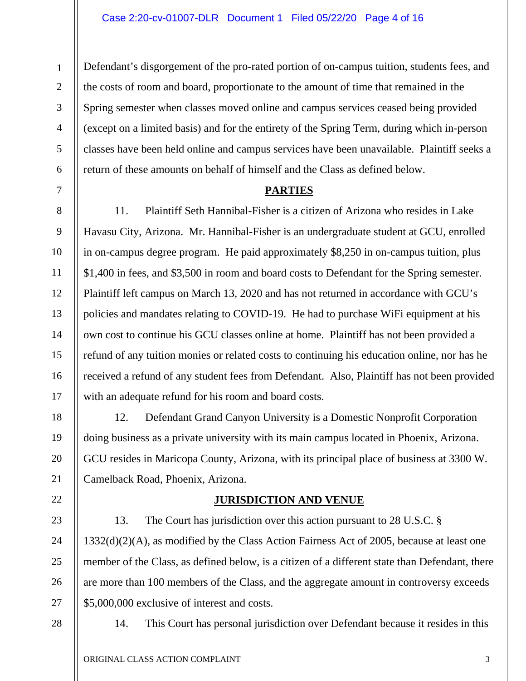Defendant's disgorgement of the pro-rated portion of on-campus tuition, students fees, and the costs of room and board, proportionate to the amount of time that remained in the Spring semester when classes moved online and campus services ceased being provided (except on a limited basis) and for the entirety of the Spring Term, during which in-person classes have been held online and campus services have been unavailable. Plaintiff seeks a return of these amounts on behalf of himself and the Class as defined below.

# **PARTIES**

11. Plaintiff Seth Hannibal-Fisher is a citizen of Arizona who resides in Lake Havasu City, Arizona. Mr. Hannibal-Fisher is an undergraduate student at GCU, enrolled in on-campus degree program. He paid approximately \$8,250 in on-campus tuition, plus \$1,400 in fees, and \$3,500 in room and board costs to Defendant for the Spring semester. Plaintiff left campus on March 13, 2020 and has not returned in accordance with GCU's policies and mandates relating to COVID-19. He had to purchase WiFi equipment at his own cost to continue his GCU classes online at home. Plaintiff has not been provided a refund of any tuition monies or related costs to continuing his education online, nor has he received a refund of any student fees from Defendant. Also, Plaintiff has not been provided with an adequate refund for his room and board costs.

12. Defendant Grand Canyon University is a Domestic Nonprofit Corporation doing business as a private university with its main campus located in Phoenix, Arizona. GCU resides in Maricopa County, Arizona, with its principal place of business at 3300 W. Camelback Road, Phoenix, Arizona.

# **JURISDICTION AND VENUE**

13. The Court has jurisdiction over this action pursuant to 28 U.S.C. § 1332(d)(2)(A), as modified by the Class Action Fairness Act of 2005, because at least one member of the Class, as defined below, is a citizen of a different state than Defendant, there are more than 100 members of the Class, and the aggregate amount in controversy exceeds \$5,000,000 exclusive of interest and costs.

28

1

2

3

4

5

6

7

8

9

10

11

12

13

14

15

16

17

18

19

20

21

22

23

24

25

26

27

14. This Court has personal jurisdiction over Defendant because it resides in this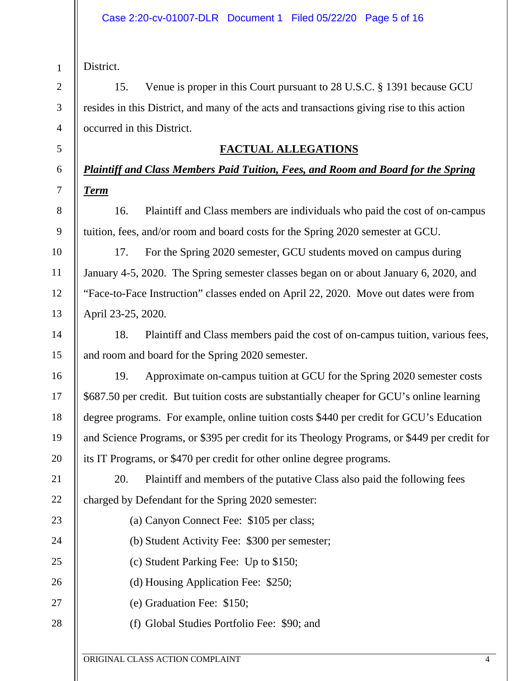District.

1

2

3

4

5

6

7

8

9

10

11

12

13

14

15

16

17

18

19

20

23

24

25

26

27

28

15. Venue is proper in this Court pursuant to 28 U.S.C. § 1391 because GCU resides in this District, and many of the acts and transactions giving rise to this action occurred in this District.

# **FACTUAL ALLEGATIONS**

# *Plaintiff and Class Members Paid Tuition, Fees, and Room and Board for the Spring Term*

16. Plaintiff and Class members are individuals who paid the cost of on-campus tuition, fees, and/or room and board costs for the Spring 2020 semester at GCU.

17. For the Spring 2020 semester, GCU students moved on campus during January 4-5, 2020. The Spring semester classes began on or about January 6, 2020, and "Face-to-Face Instruction" classes ended on April 22, 2020. Move out dates were from April 23-25, 2020.

18. Plaintiff and Class members paid the cost of on-campus tuition, various fees, and room and board for the Spring 2020 semester.

19. Approximate on-campus tuition at GCU for the Spring 2020 semester costs \$687.50 per credit. But tuition costs are substantially cheaper for GCU's online learning degree programs. For example, online tuition costs \$440 per credit for GCU's Education and Science Programs, or \$395 per credit for its Theology Programs, or \$449 per credit for its IT Programs, or \$470 per credit for other online degree programs.

21 22 20. Plaintiff and members of the putative Class also paid the following fees charged by Defendant for the Spring 2020 semester:

- (a) Canyon Connect Fee: \$105 per class;
- (b) Student Activity Fee: \$300 per semester;
- (c) Student Parking Fee: Up to \$150;
- (d) Housing Application Fee: \$250;
- (e) Graduation Fee: \$150;
- (f) Global Studies Portfolio Fee: \$90; and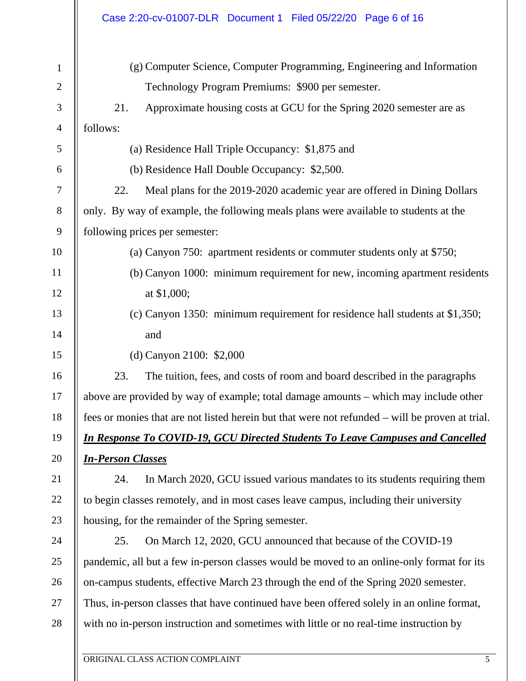|                | Case 2:20-cv-01007-DLR  Document 1  Filed 05/22/20  Page 6 of 16                                |  |  |
|----------------|-------------------------------------------------------------------------------------------------|--|--|
| $\mathbf{1}$   | (g) Computer Science, Computer Programming, Engineering and Information                         |  |  |
| $\mathfrak{2}$ | Technology Program Premiums: \$900 per semester.                                                |  |  |
| $\mathfrak{Z}$ | 21.<br>Approximate housing costs at GCU for the Spring 2020 semester are as                     |  |  |
| $\overline{4}$ | follows:                                                                                        |  |  |
| 5              | (a) Residence Hall Triple Occupancy: \$1,875 and                                                |  |  |
| 6              | (b) Residence Hall Double Occupancy: \$2,500.                                                   |  |  |
| 7              | 22.<br>Meal plans for the 2019-2020 academic year are offered in Dining Dollars                 |  |  |
| 8              | only. By way of example, the following meals plans were available to students at the            |  |  |
| 9              | following prices per semester:                                                                  |  |  |
| 10             | (a) Canyon 750: apartment residents or commuter students only at \$750;                         |  |  |
| 11             | (b) Canyon 1000: minimum requirement for new, incoming apartment residents                      |  |  |
| 12             | at \$1,000;                                                                                     |  |  |
| 13             | (c) Canyon 1350: minimum requirement for residence hall students at \$1,350;                    |  |  |
| 14             | and                                                                                             |  |  |
| 15             | (d) Canyon 2100: \$2,000                                                                        |  |  |
| 16             | 23.<br>The tuition, fees, and costs of room and board described in the paragraphs               |  |  |
| 17             | above are provided by way of example; total damage amounts – which may include other            |  |  |
| 18             | fees or monies that are not listed herein but that were not refunded – will be proven at trial. |  |  |
| 19             | <b>In Response To COVID-19, GCU Directed Students To Leave Campuses and Cancelled</b>           |  |  |
| 20             | <b>In-Person Classes</b>                                                                        |  |  |
| 21             | 24.<br>In March 2020, GCU issued various mandates to its students requiring them                |  |  |
| 22             | to begin classes remotely, and in most cases leave campus, including their university           |  |  |
| 23             | housing, for the remainder of the Spring semester.                                              |  |  |
| 24             | 25.<br>On March 12, 2020, GCU announced that because of the COVID-19                            |  |  |
| 25             | pandemic, all but a few in-person classes would be moved to an online-only format for its       |  |  |
| 26             | on-campus students, effective March 23 through the end of the Spring 2020 semester.             |  |  |
| 27             | Thus, in-person classes that have continued have been offered solely in an online format,       |  |  |
| 28             | with no in-person instruction and sometimes with little or no real-time instruction by          |  |  |
|                |                                                                                                 |  |  |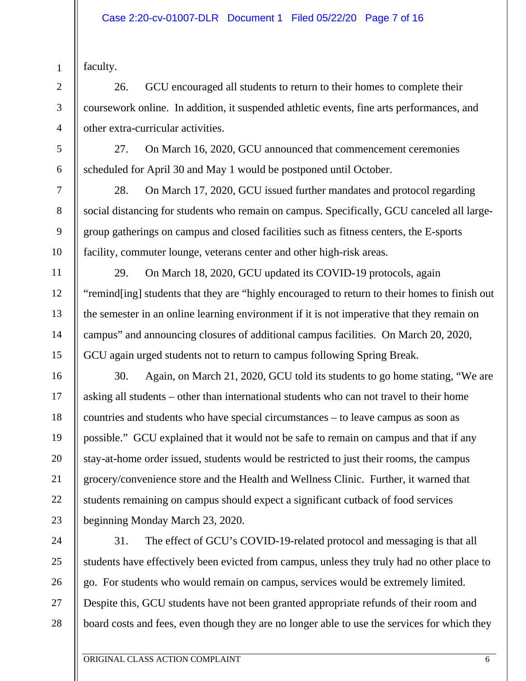faculty.

1

2

3

4

5

6

7

8

9

10

11

12

13

14

15

16

17

18

19

20

21

22

23

24

25

26

27

28

26. GCU encouraged all students to return to their homes to complete their coursework online. In addition, it suspended athletic events, fine arts performances, and other extra-curricular activities.

27. On March 16, 2020, GCU announced that commencement ceremonies scheduled for April 30 and May 1 would be postponed until October.

28. On March 17, 2020, GCU issued further mandates and protocol regarding social distancing for students who remain on campus. Specifically, GCU canceled all largegroup gatherings on campus and closed facilities such as fitness centers, the E-sports facility, commuter lounge, veterans center and other high-risk areas.

29. On March 18, 2020, GCU updated its COVID-19 protocols, again "remind[ing] students that they are "highly encouraged to return to their homes to finish out the semester in an online learning environment if it is not imperative that they remain on campus" and announcing closures of additional campus facilities. On March 20, 2020, GCU again urged students not to return to campus following Spring Break.

30. Again, on March 21, 2020, GCU told its students to go home stating, "We are asking all students – other than international students who can not travel to their home countries and students who have special circumstances – to leave campus as soon as possible." GCU explained that it would not be safe to remain on campus and that if any stay-at-home order issued, students would be restricted to just their rooms, the campus grocery/convenience store and the Health and Wellness Clinic. Further, it warned that students remaining on campus should expect a significant cutback of food services beginning Monday March 23, 2020.

31. The effect of GCU's COVID-19-related protocol and messaging is that all students have effectively been evicted from campus, unless they truly had no other place to go. For students who would remain on campus, services would be extremely limited. Despite this, GCU students have not been granted appropriate refunds of their room and board costs and fees, even though they are no longer able to use the services for which they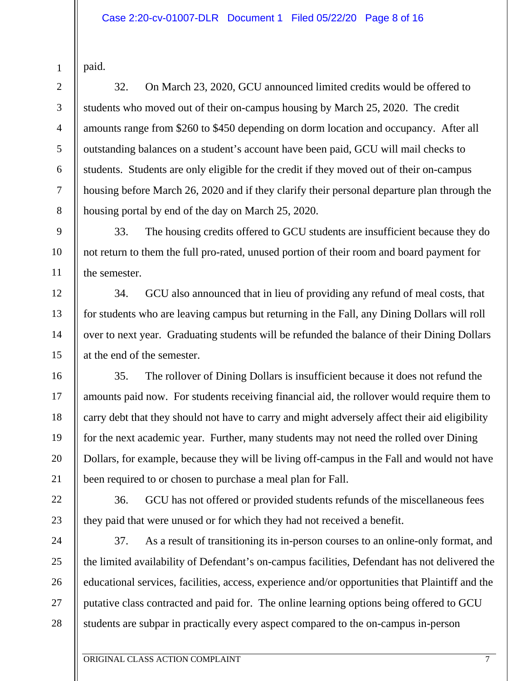| daid |
|------|
|      |

1

2

3

4

5

6

7

8

9

10

11

12

13

14

15

16

17

18

19

20

21

22

23

24

25

26

27

28

32. On March 23, 2020, GCU announced limited credits would be offered to students who moved out of their on-campus housing by March 25, 2020. The credit amounts range from \$260 to \$450 depending on dorm location and occupancy. After all outstanding balances on a student's account have been paid, GCU will mail checks to students. Students are only eligible for the credit if they moved out of their on-campus housing before March 26, 2020 and if they clarify their personal departure plan through the housing portal by end of the day on March 25, 2020.

33. The housing credits offered to GCU students are insufficient because they do not return to them the full pro-rated, unused portion of their room and board payment for the semester.

34. GCU also announced that in lieu of providing any refund of meal costs, that for students who are leaving campus but returning in the Fall, any Dining Dollars will roll over to next year. Graduating students will be refunded the balance of their Dining Dollars at the end of the semester.

35. The rollover of Dining Dollars is insufficient because it does not refund the amounts paid now. For students receiving financial aid, the rollover would require them to carry debt that they should not have to carry and might adversely affect their aid eligibility for the next academic year. Further, many students may not need the rolled over Dining Dollars, for example, because they will be living off-campus in the Fall and would not have been required to or chosen to purchase a meal plan for Fall.

36. GCU has not offered or provided students refunds of the miscellaneous fees they paid that were unused or for which they had not received a benefit.

37. As a result of transitioning its in-person courses to an online-only format, and the limited availability of Defendant's on-campus facilities, Defendant has not delivered the educational services, facilities, access, experience and/or opportunities that Plaintiff and the putative class contracted and paid for. The online learning options being offered to GCU students are subpar in practically every aspect compared to the on-campus in-person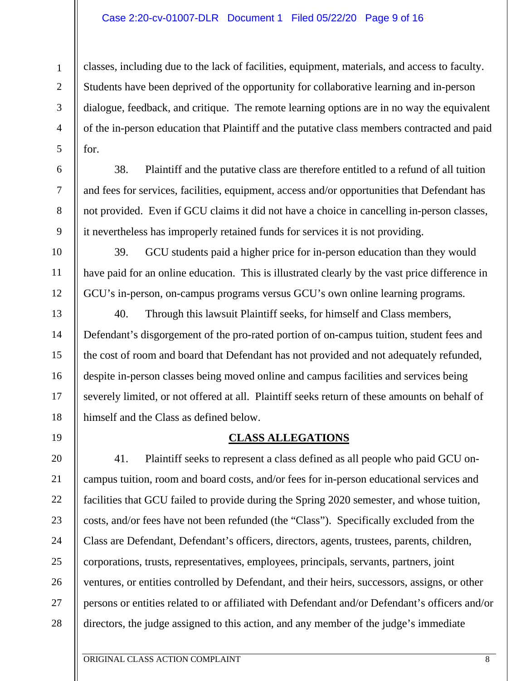#### Case 2:20-cv-01007-DLR Document 1 Filed 05/22/20 Page 9 of 16

1

2

3

4

5

6

7

8

9

10

11

12

13

14

15

16

17

18

19

20

21

22

23

24

25

26

27

28

classes, including due to the lack of facilities, equipment, materials, and access to faculty. Students have been deprived of the opportunity for collaborative learning and in-person dialogue, feedback, and critique. The remote learning options are in no way the equivalent of the in-person education that Plaintiff and the putative class members contracted and paid for.

38. Plaintiff and the putative class are therefore entitled to a refund of all tuition and fees for services, facilities, equipment, access and/or opportunities that Defendant has not provided. Even if GCU claims it did not have a choice in cancelling in-person classes, it nevertheless has improperly retained funds for services it is not providing.

39. GCU students paid a higher price for in-person education than they would have paid for an online education. This is illustrated clearly by the vast price difference in GCU's in-person, on-campus programs versus GCU's own online learning programs.

40. Through this lawsuit Plaintiff seeks, for himself and Class members, Defendant's disgorgement of the pro-rated portion of on-campus tuition, student fees and the cost of room and board that Defendant has not provided and not adequately refunded, despite in-person classes being moved online and campus facilities and services being severely limited, or not offered at all. Plaintiff seeks return of these amounts on behalf of himself and the Class as defined below.

# **CLASS ALLEGATIONS**

41. Plaintiff seeks to represent a class defined as all people who paid GCU oncampus tuition, room and board costs, and/or fees for in-person educational services and facilities that GCU failed to provide during the Spring 2020 semester, and whose tuition, costs, and/or fees have not been refunded (the "Class"). Specifically excluded from the Class are Defendant, Defendant's officers, directors, agents, trustees, parents, children, corporations, trusts, representatives, employees, principals, servants, partners, joint ventures, or entities controlled by Defendant, and their heirs, successors, assigns, or other persons or entities related to or affiliated with Defendant and/or Defendant's officers and/or directors, the judge assigned to this action, and any member of the judge's immediate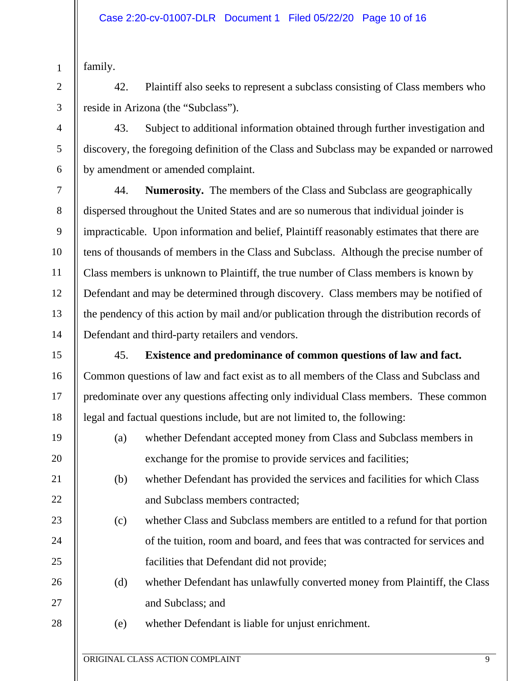family.

1

2

3

4

5

6

7

8

9

10

11

12

13

14

15

16

17

18

19

20

21

22

23

24

25

26

27

28

42. Plaintiff also seeks to represent a subclass consisting of Class members who reside in Arizona (the "Subclass").

43. Subject to additional information obtained through further investigation and discovery, the foregoing definition of the Class and Subclass may be expanded or narrowed by amendment or amended complaint.

44. **Numerosity.** The members of the Class and Subclass are geographically dispersed throughout the United States and are so numerous that individual joinder is impracticable. Upon information and belief, Plaintiff reasonably estimates that there are tens of thousands of members in the Class and Subclass. Although the precise number of Class members is unknown to Plaintiff, the true number of Class members is known by Defendant and may be determined through discovery. Class members may be notified of the pendency of this action by mail and/or publication through the distribution records of Defendant and third-party retailers and vendors.

45. **Existence and predominance of common questions of law and fact.**  Common questions of law and fact exist as to all members of the Class and Subclass and predominate over any questions affecting only individual Class members. These common legal and factual questions include, but are not limited to, the following:

- (a) whether Defendant accepted money from Class and Subclass members in exchange for the promise to provide services and facilities;
- (b) whether Defendant has provided the services and facilities for which Class and Subclass members contracted;
- (c) whether Class and Subclass members are entitled to a refund for that portion of the tuition, room and board, and fees that was contracted for services and facilities that Defendant did not provide;
- (d) whether Defendant has unlawfully converted money from Plaintiff, the Class and Subclass; and
- (e) whether Defendant is liable for unjust enrichment.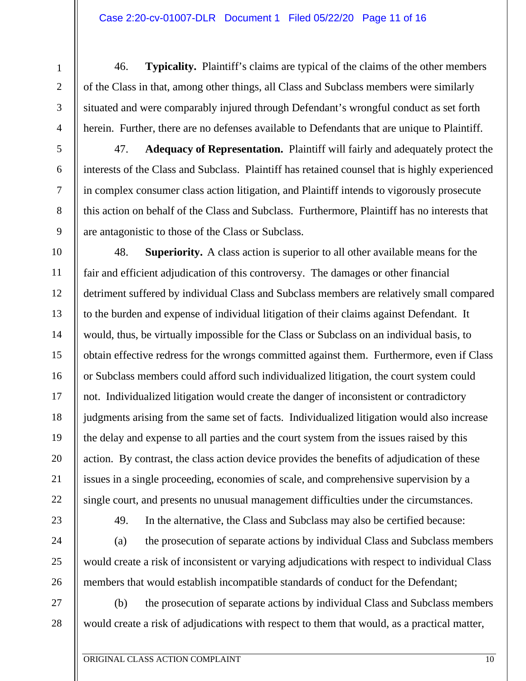46. **Typicality.** Plaintiff's claims are typical of the claims of the other members of the Class in that, among other things, all Class and Subclass members were similarly situated and were comparably injured through Defendant's wrongful conduct as set forth herein. Further, there are no defenses available to Defendants that are unique to Plaintiff.

47. **Adequacy of Representation.** Plaintiff will fairly and adequately protect the interests of the Class and Subclass. Plaintiff has retained counsel that is highly experienced in complex consumer class action litigation, and Plaintiff intends to vigorously prosecute this action on behalf of the Class and Subclass. Furthermore, Plaintiff has no interests that are antagonistic to those of the Class or Subclass.

14 16 22 48. **Superiority.** A class action is superior to all other available means for the fair and efficient adjudication of this controversy. The damages or other financial detriment suffered by individual Class and Subclass members are relatively small compared to the burden and expense of individual litigation of their claims against Defendant. It would, thus, be virtually impossible for the Class or Subclass on an individual basis, to obtain effective redress for the wrongs committed against them. Furthermore, even if Class or Subclass members could afford such individualized litigation, the court system could not. Individualized litigation would create the danger of inconsistent or contradictory judgments arising from the same set of facts. Individualized litigation would also increase the delay and expense to all parties and the court system from the issues raised by this action. By contrast, the class action device provides the benefits of adjudication of these issues in a single proceeding, economies of scale, and comprehensive supervision by a single court, and presents no unusual management difficulties under the circumstances.

1

2

3

4

5

6

7

8

9

10

11

12

13

15

17

18

19

20

21

23

24

25

26

27

28

49. In the alternative, the Class and Subclass may also be certified because:

(a) the prosecution of separate actions by individual Class and Subclass members would create a risk of inconsistent or varying adjudications with respect to individual Class members that would establish incompatible standards of conduct for the Defendant;

(b) the prosecution of separate actions by individual Class and Subclass members would create a risk of adjudications with respect to them that would, as a practical matter,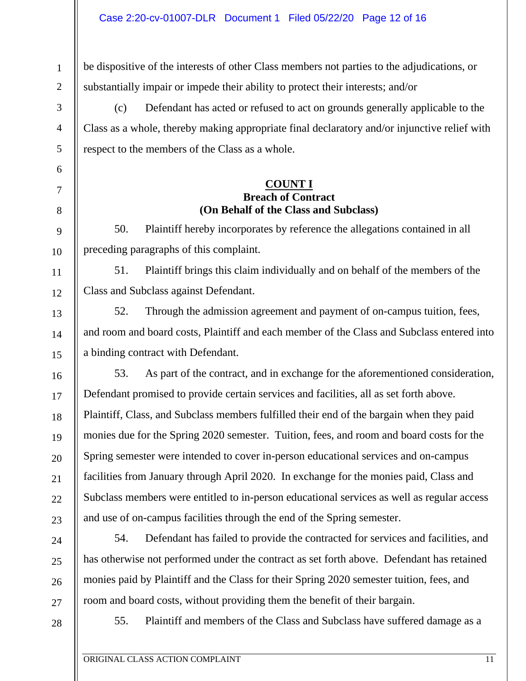be dispositive of the interests of other Class members not parties to the adjudications, or substantially impair or impede their ability to protect their interests; and/or

(c) Defendant has acted or refused to act on grounds generally applicable to the Class as a whole, thereby making appropriate final declaratory and/or injunctive relief with respect to the members of the Class as a whole.

## **COUNT I Breach of Contract (On Behalf of the Class and Subclass)**

50. Plaintiff hereby incorporates by reference the allegations contained in all preceding paragraphs of this complaint.

51. Plaintiff brings this claim individually and on behalf of the members of the Class and Subclass against Defendant.

52. Through the admission agreement and payment of on-campus tuition, fees, and room and board costs, Plaintiff and each member of the Class and Subclass entered into a binding contract with Defendant.

53. As part of the contract, and in exchange for the aforementioned consideration, Defendant promised to provide certain services and facilities, all as set forth above. Plaintiff, Class, and Subclass members fulfilled their end of the bargain when they paid monies due for the Spring 2020 semester. Tuition, fees, and room and board costs for the Spring semester were intended to cover in-person educational services and on-campus facilities from January through April 2020. In exchange for the monies paid, Class and Subclass members were entitled to in-person educational services as well as regular access and use of on-campus facilities through the end of the Spring semester.

54. Defendant has failed to provide the contracted for services and facilities, and has otherwise not performed under the contract as set forth above. Defendant has retained monies paid by Plaintiff and the Class for their Spring 2020 semester tuition, fees, and room and board costs, without providing them the benefit of their bargain.

28

1

2

3

4

5

6

7

8

9

10

11

12

13

14

15

16

17

18

19

20

21

22

23

24

25

26

27

55. Plaintiff and members of the Class and Subclass have suffered damage as a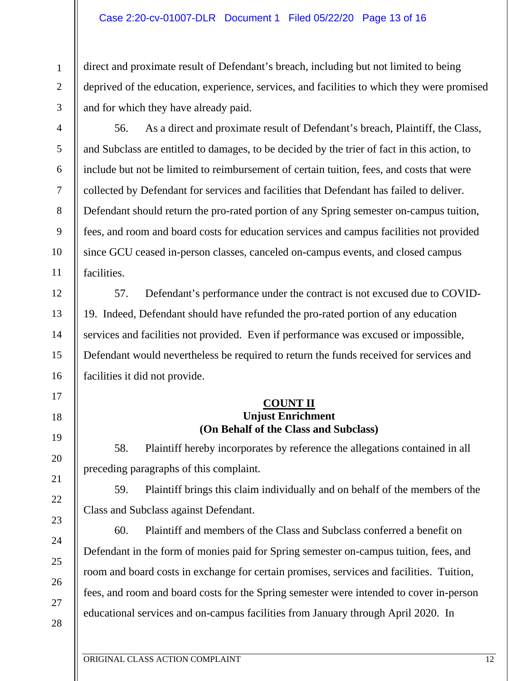#### Case 2:20-cv-01007-DLR Document 1 Filed 05/22/20 Page 13 of 16

1

2

3

4

5

6

7

8

9

10

11

12

13

14

15

16

17

18

19

20

21

22

23

24

25

26

27

28

direct and proximate result of Defendant's breach, including but not limited to being deprived of the education, experience, services, and facilities to which they were promised and for which they have already paid.

56. As a direct and proximate result of Defendant's breach, Plaintiff, the Class, and Subclass are entitled to damages, to be decided by the trier of fact in this action, to include but not be limited to reimbursement of certain tuition, fees, and costs that were collected by Defendant for services and facilities that Defendant has failed to deliver. Defendant should return the pro-rated portion of any Spring semester on-campus tuition, fees, and room and board costs for education services and campus facilities not provided since GCU ceased in-person classes, canceled on-campus events, and closed campus facilities.

57. Defendant's performance under the contract is not excused due to COVID-19. Indeed, Defendant should have refunded the pro-rated portion of any education services and facilities not provided. Even if performance was excused or impossible, Defendant would nevertheless be required to return the funds received for services and facilities it did not provide.

#### **COUNT II Unjust Enrichment (On Behalf of the Class and Subclass)**

58. Plaintiff hereby incorporates by reference the allegations contained in all preceding paragraphs of this complaint.

59. Plaintiff brings this claim individually and on behalf of the members of the Class and Subclass against Defendant.

60. Plaintiff and members of the Class and Subclass conferred a benefit on Defendant in the form of monies paid for Spring semester on-campus tuition, fees, and room and board costs in exchange for certain promises, services and facilities. Tuition, fees, and room and board costs for the Spring semester were intended to cover in-person educational services and on-campus facilities from January through April 2020. In

ORIGINAL CLASS ACTION COMPLAINT 12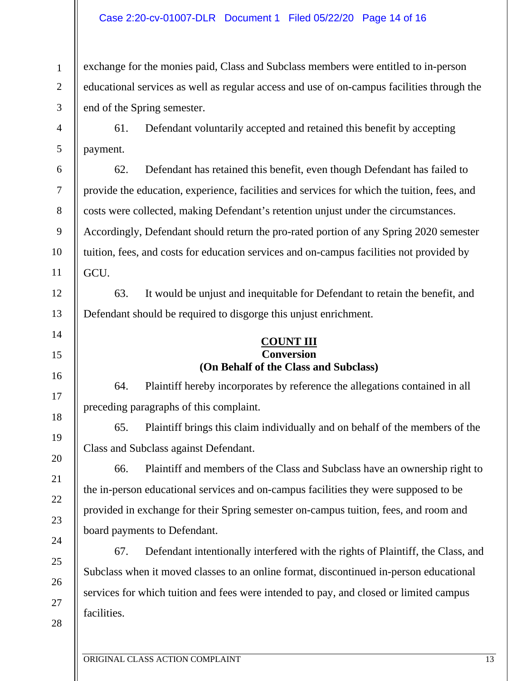#### Case 2:20-cv-01007-DLR Document 1 Filed 05/22/20 Page 14 of 16

1

2

3

4

5

6

7

8

9

10

11

12

13

14

15

16

17

18

19

20

21

22

23

24

25

26

27

28

exchange for the monies paid, Class and Subclass members were entitled to in-person educational services as well as regular access and use of on-campus facilities through the end of the Spring semester.

61. Defendant voluntarily accepted and retained this benefit by accepting payment.

62. Defendant has retained this benefit, even though Defendant has failed to provide the education, experience, facilities and services for which the tuition, fees, and costs were collected, making Defendant's retention unjust under the circumstances. Accordingly, Defendant should return the pro-rated portion of any Spring 2020 semester tuition, fees, and costs for education services and on-campus facilities not provided by GCU.

63. It would be unjust and inequitable for Defendant to retain the benefit, and Defendant should be required to disgorge this unjust enrichment.

#### **COUNT III Conversion (On Behalf of the Class and Subclass)**

64. Plaintiff hereby incorporates by reference the allegations contained in all preceding paragraphs of this complaint.

65. Plaintiff brings this claim individually and on behalf of the members of the Class and Subclass against Defendant.

66. Plaintiff and members of the Class and Subclass have an ownership right to the in-person educational services and on-campus facilities they were supposed to be provided in exchange for their Spring semester on-campus tuition, fees, and room and board payments to Defendant.

67. Defendant intentionally interfered with the rights of Plaintiff, the Class, and Subclass when it moved classes to an online format, discontinued in-person educational services for which tuition and fees were intended to pay, and closed or limited campus facilities.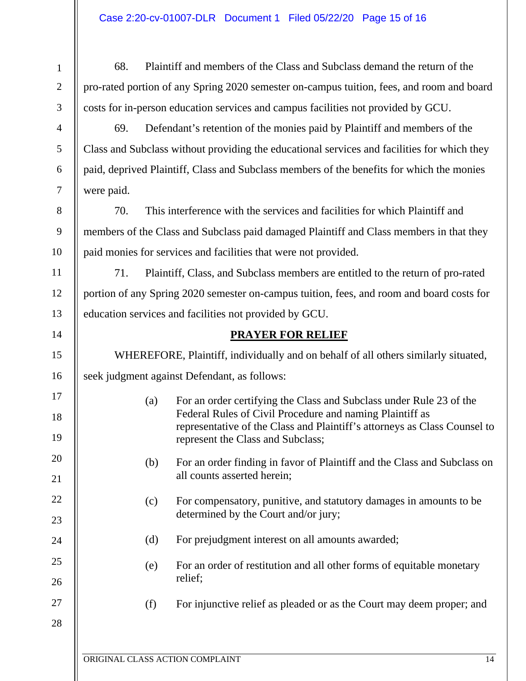| $\mathbf{1}$   | 68.                                                                                         | Plaintiff and members of the Class and Subclass demand the return of the                                                        |  |  |
|----------------|---------------------------------------------------------------------------------------------|---------------------------------------------------------------------------------------------------------------------------------|--|--|
| $\mathbf{2}$   | pro-rated portion of any Spring 2020 semester on-campus tuition, fees, and room and board   |                                                                                                                                 |  |  |
| 3              | costs for in-person education services and campus facilities not provided by GCU.           |                                                                                                                                 |  |  |
| $\overline{4}$ | 69.                                                                                         | Defendant's retention of the monies paid by Plaintiff and members of the                                                        |  |  |
| 5              | Class and Subclass without providing the educational services and facilities for which they |                                                                                                                                 |  |  |
| 6              | paid, deprived Plaintiff, Class and Subclass members of the benefits for which the monies   |                                                                                                                                 |  |  |
| 7              | were paid.                                                                                  |                                                                                                                                 |  |  |
| $8\,$          | 70.                                                                                         | This interference with the services and facilities for which Plaintiff and                                                      |  |  |
| 9              | members of the Class and Subclass paid damaged Plaintiff and Class members in that they     |                                                                                                                                 |  |  |
| 10             |                                                                                             | paid monies for services and facilities that were not provided.                                                                 |  |  |
| 11             | 71.                                                                                         | Plaintiff, Class, and Subclass members are entitled to the return of pro-rated                                                  |  |  |
| 12             |                                                                                             | portion of any Spring 2020 semester on-campus tuition, fees, and room and board costs for                                       |  |  |
| 13             | education services and facilities not provided by GCU.                                      |                                                                                                                                 |  |  |
| 14             |                                                                                             | <b>PRAYER FOR RELIEF</b>                                                                                                        |  |  |
| 15             | WHEREFORE, Plaintiff, individually and on behalf of all others similarly situated,          |                                                                                                                                 |  |  |
| 16             | seek judgment against Defendant, as follows:                                                |                                                                                                                                 |  |  |
| 17<br>18       | (a)                                                                                         | For an order certifying the Class and Subclass under Rule 23 of the<br>Federal Rules of Civil Procedure and naming Plaintiff as |  |  |
| 19             |                                                                                             | representative of the Class and Plaintiff's attorneys as Class Counsel to<br>represent the Class and Subclass;                  |  |  |
| 20<br>21       | (b)                                                                                         | For an order finding in favor of Plaintiff and the Class and Subclass on<br>all counts asserted herein;                         |  |  |
| 22             | (c)                                                                                         | For compensatory, punitive, and statutory damages in amounts to be                                                              |  |  |
| 23             |                                                                                             | determined by the Court and/or jury;                                                                                            |  |  |
| 24             | (d)                                                                                         | For prejudgment interest on all amounts awarded;                                                                                |  |  |
| 25             | (e)                                                                                         | For an order of restitution and all other forms of equitable monetary                                                           |  |  |
| 26             |                                                                                             | relief;                                                                                                                         |  |  |
| 27             | (f)                                                                                         | For injunctive relief as pleaded or as the Court may deem proper; and                                                           |  |  |
| 28             |                                                                                             |                                                                                                                                 |  |  |
|                |                                                                                             | ORIGINAL CLASS ACTION COMPLAINT<br>14                                                                                           |  |  |
|                |                                                                                             |                                                                                                                                 |  |  |

 $\mathbb I$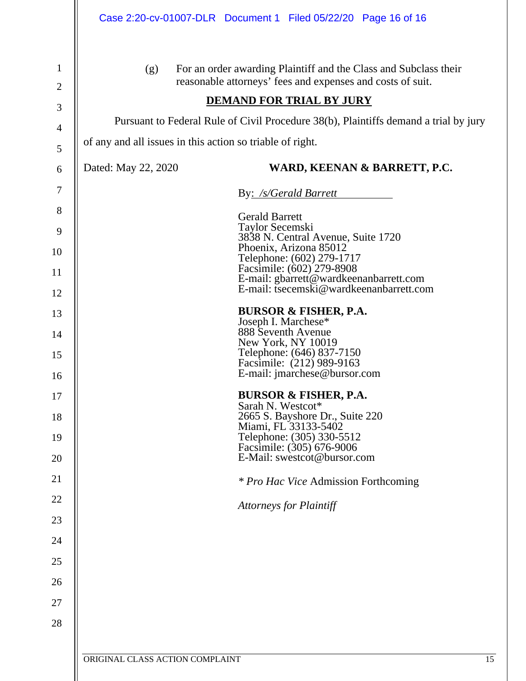|                     | Case 2:20-cv-01007-DLR  Document 1  Filed 05/22/20  Page 16 of 16                                                                           |  |  |  |  |  |
|---------------------|---------------------------------------------------------------------------------------------------------------------------------------------|--|--|--|--|--|
| 1<br>$\overline{2}$ | For an order awarding Plaintiff and the Class and Subclass their<br>(g)<br>reasonable attorneys' fees and expenses and costs of suit.       |  |  |  |  |  |
| 3                   | <b>DEMAND FOR TRIAL BY JURY</b>                                                                                                             |  |  |  |  |  |
| 4                   | Pursuant to Federal Rule of Civil Procedure 38(b), Plaintiffs demand a trial by jury                                                        |  |  |  |  |  |
| 5                   | of any and all issues in this action so triable of right.                                                                                   |  |  |  |  |  |
| 6                   | Dated: May 22, 2020<br>WARD, KEENAN & BARRETT, P.C.                                                                                         |  |  |  |  |  |
| 7                   | By: /s/Gerald Barrett                                                                                                                       |  |  |  |  |  |
| 8                   | <b>Gerald Barrett</b><br>Taylor Secemski                                                                                                    |  |  |  |  |  |
| 9                   | 3838 N. Central Avenue, Suite 1720<br>Phoenix, Arizona 85012                                                                                |  |  |  |  |  |
| 10                  |                                                                                                                                             |  |  |  |  |  |
| 11                  | Telephone: (602) 279-1717<br>Facsimile: (602) 279-8908<br>E-mail: gbarrett@wardkeenanbarrett.com<br>E-mail: tsecemski@wardkeenanbarrett.com |  |  |  |  |  |
| 12                  | <b>BURSOR &amp; FISHER, P.A.</b>                                                                                                            |  |  |  |  |  |
| 13                  | Joseph I. Marchese*<br>888 Seventh Avenue                                                                                                   |  |  |  |  |  |
| 14                  | New York, NY 10019                                                                                                                          |  |  |  |  |  |
| 15                  | Telephone: (646) 837-7150<br>Facsimile: (212) 989-9163<br>E-mail: jmarchese@bursor.com                                                      |  |  |  |  |  |
| 16<br>17            | <b>BURSOR &amp; FISHER, P.A.</b>                                                                                                            |  |  |  |  |  |
| 18                  | Sarah N. Westcot*<br>2665 S. Bayshore Dr., Suite 220                                                                                        |  |  |  |  |  |
| 19                  | Miami, FL 33133-5402                                                                                                                        |  |  |  |  |  |
| 20                  | Telephone: (305) 330-5512<br>Facsimile: (305) 676-9006<br>E-Mail: swestcot@bursor.com                                                       |  |  |  |  |  |
| 21                  |                                                                                                                                             |  |  |  |  |  |
| 22                  | <i>* Pro Hac Vice Admission Forthcoming</i>                                                                                                 |  |  |  |  |  |
| 23                  | <b>Attorneys for Plaintiff</b>                                                                                                              |  |  |  |  |  |
| 24                  |                                                                                                                                             |  |  |  |  |  |
| 25                  |                                                                                                                                             |  |  |  |  |  |
| 26                  |                                                                                                                                             |  |  |  |  |  |
| 27                  |                                                                                                                                             |  |  |  |  |  |
| 28                  |                                                                                                                                             |  |  |  |  |  |
|                     |                                                                                                                                             |  |  |  |  |  |
|                     | ORIGINAL CLASS ACTION COMPLAINT<br>15                                                                                                       |  |  |  |  |  |
|                     |                                                                                                                                             |  |  |  |  |  |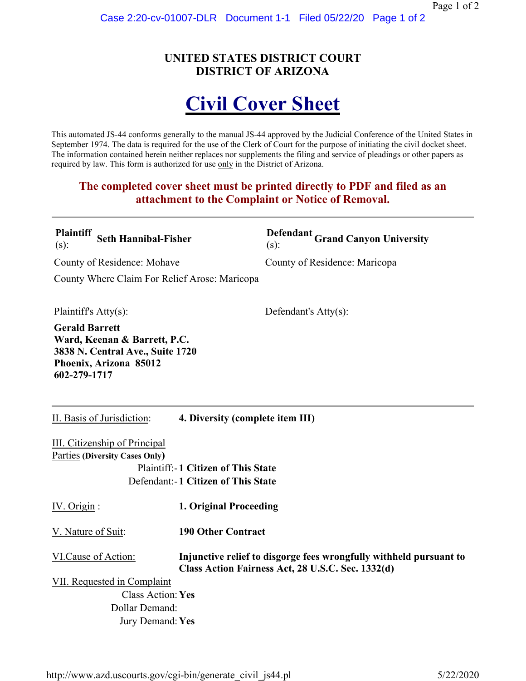# **UNITED STATES DISTRICT COURT DISTRICT OF ARIZONA**

# **Civil Cover Sheet**

This automated JS-44 conforms generally to the manual JS-44 approved by the Judicial Conference of the United States in September 1974. The data is required for the use of the Clerk of Court for the purpose of initiating the civil docket sheet. The information contained herein neither replaces nor supplements the filing and service of pleadings or other papers as required by law. This form is authorized for use only in the District of Arizona.

## **The completed cover sheet must be printed directly to PDF and filed as an attachment to the Complaint or Notice of Removal.**

| <b>Plaintiff</b><br>$(s)$ :                                                                                                         | <b>Seth Hannibal-Fisher</b>           |                                                                                                                         | $(s)$ :                 | Defendant Grand Canyon University |
|-------------------------------------------------------------------------------------------------------------------------------------|---------------------------------------|-------------------------------------------------------------------------------------------------------------------------|-------------------------|-----------------------------------|
|                                                                                                                                     | County of Residence: Mohave           |                                                                                                                         |                         | County of Residence: Maricopa     |
|                                                                                                                                     |                                       | County Where Claim For Relief Arose: Maricopa                                                                           |                         |                                   |
| Plaintiff's Atty(s):                                                                                                                |                                       |                                                                                                                         | Defendant's $Atty(s)$ : |                                   |
| <b>Gerald Barrett</b><br>Ward, Keenan & Barrett, P.C.<br>3838 N. Central Ave., Suite 1720<br>Phoenix, Arizona 85012<br>602-279-1717 |                                       |                                                                                                                         |                         |                                   |
| II. Basis of Jurisdiction:<br>4. Diversity (complete item III)                                                                      |                                       |                                                                                                                         |                         |                                   |
|                                                                                                                                     | III. Citizenship of Principal         |                                                                                                                         |                         |                                   |
|                                                                                                                                     | <b>Parties (Diversity Cases Only)</b> |                                                                                                                         |                         |                                   |
| <b>Plaintiff:-1 Citizen of This State</b><br>Defendant:-1 Citizen of This State                                                     |                                       |                                                                                                                         |                         |                                   |
| IV. Origin:                                                                                                                         |                                       | 1. Original Proceeding                                                                                                  |                         |                                   |
| V. Nature of Suit:                                                                                                                  |                                       | <b>190 Other Contract</b>                                                                                               |                         |                                   |
| VI.Cause of Action:                                                                                                                 |                                       | Injunctive relief to disgorge fees wrongfully withheld pursuant to<br>Class Action Fairness Act, 28 U.S.C. Sec. 1332(d) |                         |                                   |
| VII. Requested in Complaint                                                                                                         |                                       |                                                                                                                         |                         |                                   |
| <b>Class Action: Yes</b>                                                                                                            |                                       |                                                                                                                         |                         |                                   |
| Dollar Demand:<br>Jury Demand: Yes                                                                                                  |                                       |                                                                                                                         |                         |                                   |
|                                                                                                                                     |                                       |                                                                                                                         |                         |                                   |
|                                                                                                                                     |                                       |                                                                                                                         |                         |                                   |